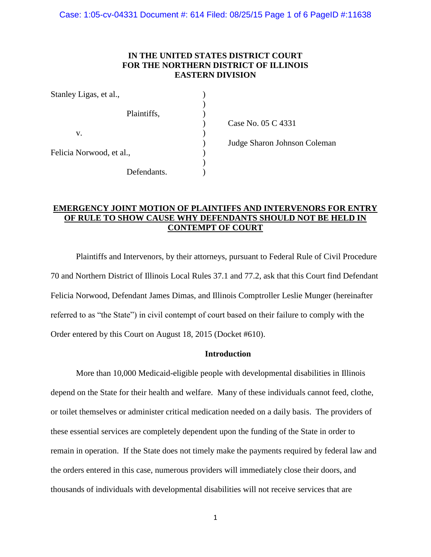# **IN THE UNITED STATES DISTRICT COURT FOR THE NORTHERN DISTRICT OF ILLINOIS EASTERN DIVISION**

)

)

| Stanley Ligas, et al.,   |             |  |
|--------------------------|-------------|--|
|                          | Plaintiffs, |  |
| V.                       |             |  |
| Felicia Norwood, et al., |             |  |
|                          | Defendants. |  |

) Case No. 05 C 4331

) Judge Sharon Johnson Coleman

# **EMERGENCY JOINT MOTION OF PLAINTIFFS AND INTERVENORS FOR ENTRY OF RULE TO SHOW CAUSE WHY DEFENDANTS SHOULD NOT BE HELD IN CONTEMPT OF COURT**

Plaintiffs and Intervenors, by their attorneys, pursuant to Federal Rule of Civil Procedure 70 and Northern District of Illinois Local Rules 37.1 and 77.2, ask that this Court find Defendant Felicia Norwood, Defendant James Dimas, and Illinois Comptroller Leslie Munger (hereinafter referred to as "the State") in civil contempt of court based on their failure to comply with the Order entered by this Court on August 18, 2015 (Docket #610).

## **Introduction**

More than 10,000 Medicaid-eligible people with developmental disabilities in Illinois depend on the State for their health and welfare. Many of these individuals cannot feed, clothe, or toilet themselves or administer critical medication needed on a daily basis. The providers of these essential services are completely dependent upon the funding of the State in order to remain in operation. If the State does not timely make the payments required by federal law and the orders entered in this case, numerous providers will immediately close their doors, and thousands of individuals with developmental disabilities will not receive services that are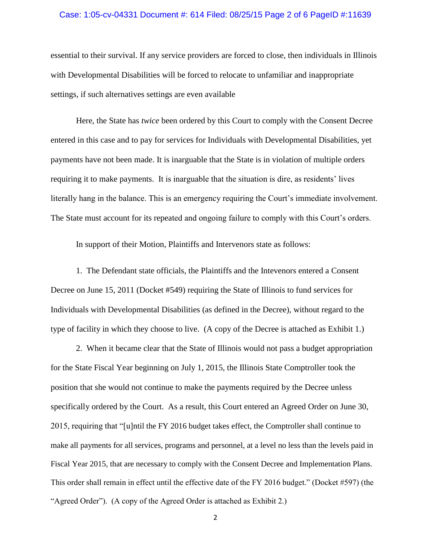## Case: 1:05-cv-04331 Document #: 614 Filed: 08/25/15 Page 2 of 6 PageID #:11639

essential to their survival. If any service providers are forced to close, then individuals in Illinois with Developmental Disabilities will be forced to relocate to unfamiliar and inappropriate settings, if such alternatives settings are even available

Here, the State has *twice* been ordered by this Court to comply with the Consent Decree entered in this case and to pay for services for Individuals with Developmental Disabilities, yet payments have not been made. It is inarguable that the State is in violation of multiple orders requiring it to make payments. It is inarguable that the situation is dire, as residents' lives literally hang in the balance. This is an emergency requiring the Court's immediate involvement. The State must account for its repeated and ongoing failure to comply with this Court's orders.

In support of their Motion, Plaintiffs and Intervenors state as follows:

1. The Defendant state officials, the Plaintiffs and the Intevenors entered a Consent Decree on June 15, 2011 (Docket #549) requiring the State of Illinois to fund services for Individuals with Developmental Disabilities (as defined in the Decree), without regard to the type of facility in which they choose to live. (A copy of the Decree is attached as Exhibit 1.)

2. When it became clear that the State of Illinois would not pass a budget appropriation for the State Fiscal Year beginning on July 1, 2015, the Illinois State Comptroller took the position that she would not continue to make the payments required by the Decree unless specifically ordered by the Court. As a result, this Court entered an Agreed Order on June 30, 2015, requiring that "[u]ntil the FY 2016 budget takes effect, the Comptroller shall continue to make all payments for all services, programs and personnel, at a level no less than the levels paid in Fiscal Year 2015, that are necessary to comply with the Consent Decree and Implementation Plans. This order shall remain in effect until the effective date of the FY 2016 budget." (Docket #597) (the "Agreed Order"). (A copy of the Agreed Order is attached as Exhibit 2.)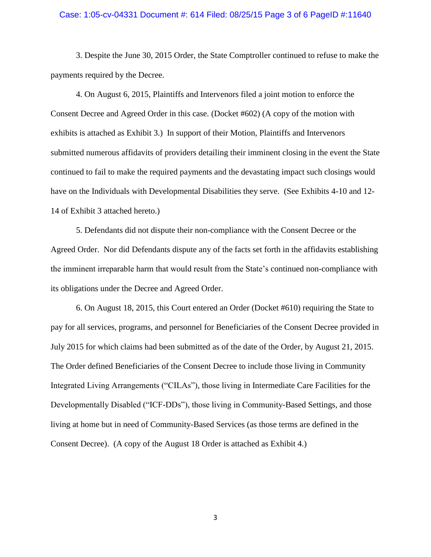#### Case: 1:05-cv-04331 Document #: 614 Filed: 08/25/15 Page 3 of 6 PageID #:11640

3. Despite the June 30, 2015 Order, the State Comptroller continued to refuse to make the payments required by the Decree.

4. On August 6, 2015, Plaintiffs and Intervenors filed a joint motion to enforce the Consent Decree and Agreed Order in this case. (Docket #602) (A copy of the motion with exhibits is attached as Exhibit 3.) In support of their Motion, Plaintiffs and Intervenors submitted numerous affidavits of providers detailing their imminent closing in the event the State continued to fail to make the required payments and the devastating impact such closings would have on the Individuals with Developmental Disabilities they serve. (See Exhibits 4-10 and 12- 14 of Exhibit 3 attached hereto.)

5. Defendants did not dispute their non-compliance with the Consent Decree or the Agreed Order. Nor did Defendants dispute any of the facts set forth in the affidavits establishing the imminent irreparable harm that would result from the State's continued non-compliance with its obligations under the Decree and Agreed Order.

6. On August 18, 2015, this Court entered an Order (Docket #610) requiring the State to pay for all services, programs, and personnel for Beneficiaries of the Consent Decree provided in July 2015 for which claims had been submitted as of the date of the Order, by August 21, 2015. The Order defined Beneficiaries of the Consent Decree to include those living in Community Integrated Living Arrangements ("CILAs"), those living in Intermediate Care Facilities for the Developmentally Disabled ("ICF-DDs"), those living in Community-Based Settings, and those living at home but in need of Community-Based Services (as those terms are defined in the Consent Decree). (A copy of the August 18 Order is attached as Exhibit 4.)

3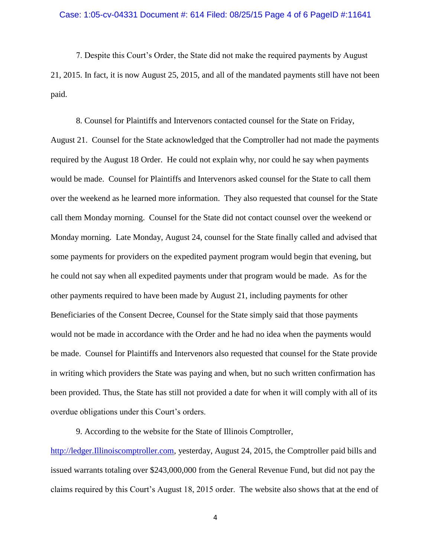### Case: 1:05-cv-04331 Document #: 614 Filed: 08/25/15 Page 4 of 6 PageID #:11641

7. Despite this Court's Order, the State did not make the required payments by August 21, 2015. In fact, it is now August 25, 2015, and all of the mandated payments still have not been paid.

8. Counsel for Plaintiffs and Intervenors contacted counsel for the State on Friday, August 21. Counsel for the State acknowledged that the Comptroller had not made the payments required by the August 18 Order. He could not explain why, nor could he say when payments would be made. Counsel for Plaintiffs and Intervenors asked counsel for the State to call them over the weekend as he learned more information. They also requested that counsel for the State call them Monday morning. Counsel for the State did not contact counsel over the weekend or Monday morning. Late Monday, August 24, counsel for the State finally called and advised that some payments for providers on the expedited payment program would begin that evening, but he could not say when all expedited payments under that program would be made. As for the other payments required to have been made by August 21, including payments for other Beneficiaries of the Consent Decree, Counsel for the State simply said that those payments would not be made in accordance with the Order and he had no idea when the payments would be made. Counsel for Plaintiffs and Intervenors also requested that counsel for the State provide in writing which providers the State was paying and when, but no such written confirmation has been provided. Thus, the State has still not provided a date for when it will comply with all of its overdue obligations under this Court's orders.

9. According to the website for the State of Illinois Comptroller,

[http://ledger.Illinoiscomptroller.com,](http://ledger.illinoiscomptroller.com/) yesterday, August 24, 2015, the Comptroller paid bills and issued warrants totaling over \$243,000,000 from the General Revenue Fund, but did not pay the claims required by this Court's August 18, 2015 order. The website also shows that at the end of

4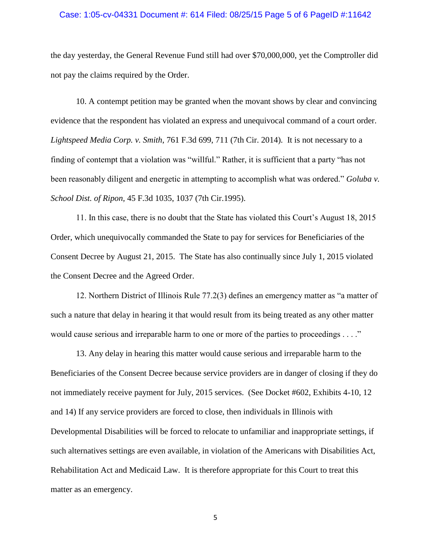### Case: 1:05-cv-04331 Document #: 614 Filed: 08/25/15 Page 5 of 6 PageID #:11642

the day yesterday, the General Revenue Fund still had over \$70,000,000, yet the Comptroller did not pay the claims required by the Order.

10. A contempt petition may be granted when the movant shows by clear and convincing evidence that the respondent has violated an express and unequivocal command of a court order. *Lightspeed Media Corp. v. Smith*, 761 F.3d 699, 711 (7th Cir. 2014). It is not necessary to a finding of contempt that a violation was "willful." Rather, it is sufficient that a party "has not been reasonably diligent and energetic in attempting to accomplish what was ordered." *Goluba v. School Dist. of Ripon,* 45 F.3d 1035, 1037 (7th Cir.1995).

11. In this case, there is no doubt that the State has violated this Court's August 18, 2015 Order, which unequivocally commanded the State to pay for services for Beneficiaries of the Consent Decree by August 21, 2015. The State has also continually since July 1, 2015 violated the Consent Decree and the Agreed Order.

12. Northern District of Illinois Rule 77.2(3) defines an emergency matter as "a matter of such a nature that delay in hearing it that would result from its being treated as any other matter would cause serious and irreparable harm to one or more of the parties to proceedings . . . ."

13. Any delay in hearing this matter would cause serious and irreparable harm to the Beneficiaries of the Consent Decree because service providers are in danger of closing if they do not immediately receive payment for July, 2015 services. (See Docket #602, Exhibits 4-10, 12 and 14) If any service providers are forced to close, then individuals in Illinois with Developmental Disabilities will be forced to relocate to unfamiliar and inappropriate settings, if such alternatives settings are even available, in violation of the Americans with Disabilities Act, Rehabilitation Act and Medicaid Law. It is therefore appropriate for this Court to treat this matter as an emergency.

5